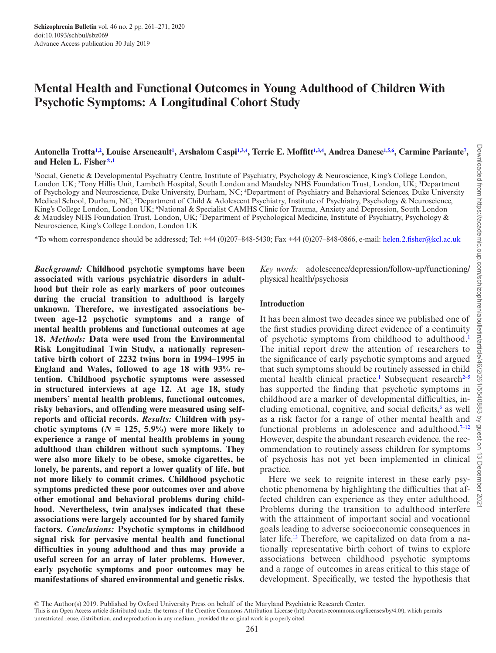# **Mental Health and Functional Outcomes in Young Adulthood of Children With Psychotic Symptoms: A Longitudinal Cohort Study**

#### Antonella Trotta<sup>[1](#page-0-0),[2](#page-0-1)</sup>, Louise Arseneault<sup>1</sup>, Avshalom Caspi<sup>1,[3](#page-0-2)[,4](#page-0-3)</sup>, Terrie E. Moffitt<sup>1[,3](#page-0-2),[4](#page-0-3)</sup>, Andrea Danese<sup>[1,](#page-0-0)[5](#page-0-4),[6](#page-0-5)</sup>, Carmine Pariante<sup>7</sup>, **and Helen L. Fisher[\\*](#page-0-7)[,1](#page-0-0)**

<span id="page-0-4"></span><span id="page-0-3"></span><span id="page-0-2"></span><span id="page-0-1"></span><span id="page-0-0"></span>1 Social, Genetic & Developmental Psychiatry Centre, Institute of Psychiatry, Psychology & Neuroscience, King's College London, London UK; <sup>2</sup>Tony Hillis Unit, Lambeth Hospital, South London and Maudsley NHS Foundation Trust, London, UK; <sup>3</sup>Department of Psychology and Neuroscience, Duke University, Durham, NC; 4 Department of Psychiatry and Behavioral Sciences, Duke University Medical School, Durham, NC; <sup>5</sup>Department of Child & Adolescent Psychiatry, Institute of Psychiatry, Psychology & Neuroscience, King's College London, London UK; <sup>6</sup>National & Specialist CAMHS Clinic for Trauma, Anxiety and Depression, South London & Maudsley NHS Foundation Trust, London, UK; 7 Department of Psychological Medicine, Institute of Psychiatry, Psychology & Neuroscience, King's College London, London UK

<span id="page-0-7"></span><span id="page-0-6"></span><span id="page-0-5"></span>\*To whom correspondence should be addressed; Tel: +44 (0)207–848-5430; Fax +44 (0)207–848-0866, e-mail: [helen.2.fisher@kcl.ac.uk](mailto:helen.2.fisher@kcl.ac.uk?subject=)

*Background:* **Childhood psychotic symptoms have been associated with various psychiatric disorders in adulthood but their role as early markers of poor outcomes during the crucial transition to adulthood is largely unknown. Therefore, we investigated associations between age-12 psychotic symptoms and a range of mental health problems and functional outcomes at age 18.** *Methods:* **Data were used from the Environmental Risk Longitudinal Twin Study, a nationally representative birth cohort of 2232 twins born in 1994–1995 in England and Wales, followed to age 18 with 93% retention. Childhood psychotic symptoms were assessed in structured interviews at age 12. At age 18, study members' mental health problems, functional outcomes, risky behaviors, and offending were measured using selfreports and official records.** *Results:* **Children with psy**chotic symptoms ( $N = 125, 5.9\%$ ) were more likely to **experience a range of mental health problems in young adulthood than children without such symptoms. They were also more likely to be obese, smoke cigarettes, be lonely, be parents, and report a lower quality of life, but not more likely to commit crimes. Childhood psychotic symptoms predicted these poor outcomes over and above other emotional and behavioral problems during childhood. Nevertheless, twin analyses indicated that these associations were largely accounted for by shared family factors.** *Conclusions:* **Psychotic symptoms in childhood signal risk for pervasive mental health and functional difficulties in young adulthood and thus may provide a useful screen for an array of later problems. However, early psychotic symptoms and poor outcomes may be manifestations of shared environmental and genetic risks.**

*Key words:* adolescence/depression/follow-up/functioning/ physical health/psychosis

#### **Introduction**

It has been almost two decades since we published one of the first studies providing direct evidence of a continuity of psychotic symptoms from childhood to adulthood.[1](#page-8-0) The initial report drew the attention of researchers to the significance of early psychotic symptoms and argued that such symptoms should be routinely assessed in child mental health clinical practice.<sup>[1](#page-8-0)</sup> Subsequent research<sup>2-5</sup> has supported the finding that psychotic symptoms in childhood are a marker of developmental difficulties, including emotional, cognitive, and social deficits,<sup>6</sup> as well as a risk factor for a range of other mental health and  $\mathcal{Q}$ functional problems in adolescence and adulthood.<sup>7-12</sup> However, despite the abundant research evidence, the recommendation to routinely assess children for symptoms of psychosis has not yet been implemented in clinical practice.

Here we seek to reignite interest in these early psychotic phenomena by highlighting the difficulties that affected children can experience as they enter adulthood. Problems during the transition to adulthood interfere with the attainment of important social and vocational goals leading to adverse socioeconomic consequences in later life.[13](#page-8-2) Therefore, we capitalized on data from a nationally representative birth cohort of twins to explore associations between childhood psychotic symptoms and a range of outcomes in areas critical to this stage of development. Specifically, we tested the hypothesis that

<sup>©</sup> The Author(s) 2019. Published by Oxford University Press on behalf of the Maryland Psychiatric Research Center.

This is an Open Access article distributed under the terms of the Creative Commons Attribution License (http://creativecommons.org/licenses/by/4.0/), which permits unrestricted reuse, distribution, and reproduction in any medium, provided the original work is properly cited.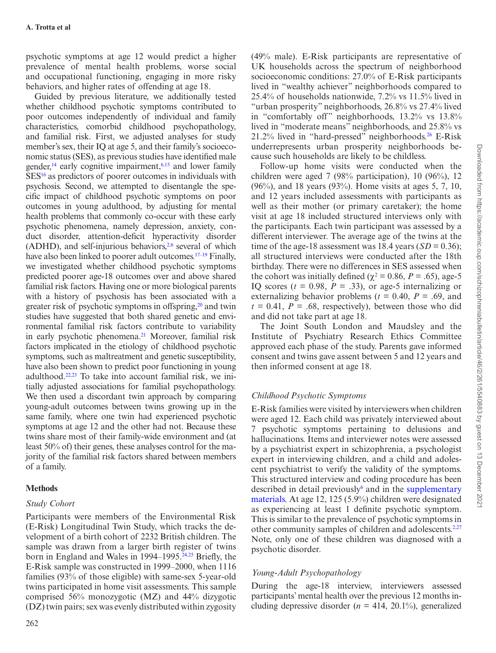psychotic symptoms at age 12 would predict a higher prevalence of mental health problems, worse social and occupational functioning, engaging in more risky behaviors, and higher rates of offending at age 18.

Guided by previous literature, we additionally tested whether childhood psychotic symptoms contributed to poor outcomes independently of individual and family characteristics, comorbid childhood psychopathology, and familial risk. First, we adjusted analyses for study member's sex, their IQ at age 5, and their family's socioeconomic status (SES), as previous studies have identified male gender, $^{14}$  early cognitive impairment, $^{6,15}$  $^{6,15}$  $^{6,15}$  $^{6,15}$  and lower family SES<sup>16</sup> as predictors of poorer outcomes in individuals with psychosis. Second, we attempted to disentangle the specific impact of childhood psychotic symptoms on poor outcomes in young adulthood, by adjusting for mental health problems that commonly co-occur with these early psychotic phenomena, namely depression, anxiety, conduct disorder, attention-deficit hyperactivity disorder  $(ADHD)$ , and self-injurious behaviors,<sup>2,[6](#page-8-1)</sup> several of which have also been linked to poorer adult outcomes.<sup>17–19</sup> Finally, we investigated whether childhood psychotic symptoms predicted poorer age-18 outcomes over and above shared familial risk factors. Having one or more biological parents with a history of psychosis has been associated with a greater risk of psychotic symptoms in offspring, $^{20}$  and twin studies have suggested that both shared genetic and environmental familial risk factors contribute to variability in early psychotic phenomena.[21](#page-9-3) Moreover, familial risk factors implicated in the etiology of childhood psychotic symptoms, such as maltreatment and genetic susceptibility, have also been shown to predict poor functioning in young adulthood[.22](#page-9-4)[,23](#page-9-5) To take into account familial risk, we initially adjusted associations for familial psychopathology. We then used a discordant twin approach by comparing young-adult outcomes between twins growing up in the same family, where one twin had experienced psychotic symptoms at age 12 and the other had not. Because these twins share most of their family-wide environment and (at least 50% of) their genes, these analyses control for the majority of the familial risk factors shared between members of a family.

## **Methods**

## *Study Cohort*

Participants were members of the Environmental Risk (E-Risk) Longitudinal Twin Study, which tracks the development of a birth cohort of 2232 British children. The sample was drawn from a larger birth register of twins born in England and Wales in 1994–1995.<sup>[24,](#page-9-6)25</sup> Briefly, the E-Risk sample was constructed in 1999–2000, when 1116 families (93% of those eligible) with same-sex 5-year-old twins participated in home visit assessments. This sample comprised 56% monozygotic (MZ) and 44% dizygotic (DZ) twin pairs; sex was evenly distributed within zygosity

(49% male). E-Risk participants are representative of UK households across the spectrum of neighborhood socioeconomic conditions: 27.0% of E-Risk participants lived in "wealthy achiever" neighborhoods compared to 25.4% of households nationwide, 7.2% vs 11.5% lived in "urban prosperity" neighborhoods, 26.8% vs 27.4% lived in "comfortably off" neighborhoods, 13.2% vs 13.8% lived in "moderate means" neighborhoods, and 25.8% vs  $21.2\%$  lived in "hard-pressed" neighborhoods.<sup>26</sup> E-Risk underrepresents urban prosperity neighborhoods because such households are likely to be childless.

Follow-up home visits were conducted when the children were aged 7 (98% participation), 10 (96%), 12 (96%), and 18 years (93%). Home visits at ages 5, 7, 10, and 12 years included assessments with participants as well as their mother (or primary caretaker); the home visit at age 18 included structured interviews only with the participants. Each twin participant was assessed by a different interviewer. The average age of the twins at the time of the age-18 assessment was 18.4 years  $(SD = 0.36)$ ; all structured interviews were conducted after the 18th birthday. There were no differences in SES assessed when the cohort was initially defined ( $\chi^2$  = 0.86, *P* = .65), age-5 IQ scores ( $t = 0.98$ ,  $P = .33$ ), or age-5 internalizing or externalizing behavior problems ( $t = 0.40$ ,  $P = .69$ , and  $t = 0.41$ ,  $P = .68$ , respectively), between those who did and did not take part at age 18.

The Joint South London and Maudsley and the Institute of Psychiatry Research Ethics Committee approved each phase of the study. Parents gave informed consent and twins gave assent between 5 and 12 years and then informed consent at age 18.

# *Childhood Psychotic Symptoms*

E-Risk families were visited by interviewers when children were aged 12. Each child was privately interviewed about 7 psychotic symptoms pertaining to delusions and hallucinations. Items and interviewer notes were assessed by a psychiatrist expert in schizophrenia, a psychologist expert in interviewing children, and a child and adolescent psychiatrist to verify the validity of the symptoms. This structured interview and coding procedure has been described in detail previously<sup>[6](#page-8-1)</sup> and in the supplementary [materials.](http://academic.oup.com/schizophreniabulletin/article-lookup/doi/10.1093/schbul/sbz069#supplementary-data) At age 12, 125 (5.9%) children were designated as experiencing at least 1 definite psychotic symptom. This is similar to the prevalence of psychotic symptoms in other community samples of children and adolescents.<sup>2,[27](#page-9-9)</sup> Note, only one of these children was diagnosed with a psychotic disorder.

# *Young-Adult Psychopathology*

During the age-18 interview, interviewers assessed participants' mental health over the previous 12 months including depressive disorder  $(n = 414, 20.1\%)$ , generalized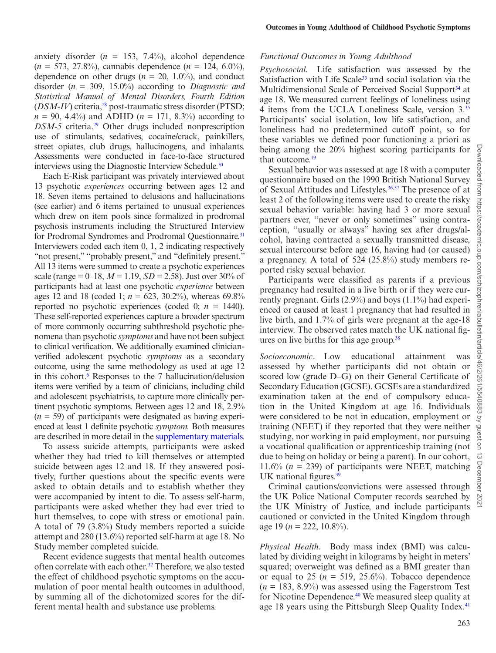Downloaded Downloaded from https://academic.oup.com/schizophreniabulletin/article/46/2/261/5540883 by guest on 13 December 2021from https: /academic.oup.com/schizophreni

abulletin/article/46/2/26

/5540883

੍ਰ anest  $\Xi$  $\vec{\omega}$ 

mber

anxiety disorder  $(n = 153, 7.4\%)$ , alcohol dependence (*n* = 573, 27.8%), cannabis dependence (*n* = 124, 6.0%), dependence on other drugs ( $n = 20, 1.0\%$ ), and conduct disorder (*n* = 309, 15.0%) according to *Diagnostic and Statistical Manual of Mental Disorders, Fourth Edition* (*DSM-IV*) criteria,<sup>28</sup> post-traumatic stress disorder (PTSD;  $n = 90, 4.4\%$  and ADHD ( $n = 171, 8.3\%$ ) according to DSM-5 criteria.<sup>29</sup> Other drugs included nonprescription use of stimulants, sedatives, cocaine/crack, painkillers, street opiates, club drugs, hallucinogens, and inhalants. Assessments were conducted in face-to-face structured interviews using the Diagnostic Interview Schedule.<sup>30</sup>

Each E-Risk participant was privately interviewed about 13 psychotic *experiences* occurring between ages 12 and 18. Seven items pertained to delusions and hallucinations (see earlier) and 6 items pertained to unusual experiences which drew on item pools since formalized in prodromal psychosis instruments including the Structured Interview for Prodromal Syndromes and Prodromal Questionnaire.<sup>31</sup> Interviewers coded each item 0, 1, 2 indicating respectively "not present," "probably present," and "definitely present." All 13 items were summed to create a psychotic experiences scale (range = 0–18, *M* = 1.19, *SD* = 2.58). Just over 30% of participants had at least one psychotic *experience* between ages 12 and 18 (coded 1; *n* = 623, 30.2%), whereas 69.8% reported no psychotic experiences (coded 0;  $n = 1440$ ). These self-reported experiences capture a broader spectrum of more commonly occurring subthreshold psychotic phenomena than psychotic *symptoms* and have not been subject to clinical verification. We additionally examined clinicianverified adolescent psychotic *symptoms* as a secondary outcome, using the same methodology as used at age 12 in this cohort.<sup>[6](#page-8-1)</sup> Responses to the 7 hallucination/delusion items were verified by a team of clinicians, including child and adolescent psychiatrists, to capture more clinically pertinent psychotic symptoms. Between ages 12 and 18, 2.9%  $(n = 59)$  of participants were designated as having experienced at least 1 definite psychotic *symptom.* Both measures are described in more detail in the [supplementary materials](http://academic.oup.com/schizophreniabulletin/article-lookup/doi/10.1093/schbul/sbz069#supplementary-data).

To assess suicide attempts, participants were asked whether they had tried to kill themselves or attempted suicide between ages 12 and 18. If they answered positively, further questions about the specific events were asked to obtain details and to establish whether they were accompanied by intent to die. To assess self-harm, participants were asked whether they had ever tried to hurt themselves, to cope with stress or emotional pain. A total of 79 (3.8%) Study members reported a suicide attempt and 280 (13.6%) reported self-harm at age 18. No Study member completed suicide.

Recent evidence suggests that mental health outcomes often correlate with each other.<sup>32</sup> Therefore, we also tested the effect of childhood psychotic symptoms on the accumulation of poor mental health outcomes in adulthood, by summing all of the dichotomized scores for the different mental health and substance use problems.

#### *Functional Outcomes in Young Adulthood*

*Psychosocial.* Life satisfaction was assessed by the Satisfaction with Life Scale<sup>33</sup> and social isolation via the Multidimensional Scale of Perceived Social Support<sup>34</sup> at age 18. We measured current feelings of loneliness using 4 items from the UCLA Loneliness Scale, version 3.[35](#page-9-17) Participants' social isolation, low life satisfaction, and loneliness had no predetermined cutoff point, so for these variables we defined poor functioning a priori as being among the 20% highest scoring participants for that outcome.<sup>19</sup>

Sexual behavior was assessed at age 18 with a computer questionnaire based on the 1990 British National Survey of Sexual Attitudes and Lifestyles.<sup>36[,37](#page-9-20)</sup> The presence of at least 2 of the following items were used to create the risky sexual behavior variable: having had 3 or more sexual partners ever, "never or only sometimes" using contraception, "usually or always" having sex after drugs/alcohol, having contracted a sexually transmitted disease, sexual intercourse before age 16, having had (or caused) a pregnancy. A total of 524 (25.8%) study members reported risky sexual behavior.

Participants were classified as parents if a previous pregnancy had resulted in a live birth or if they were currently pregnant. Girls (2.9%) and boys (1.1%) had experienced or caused at least 1 pregnancy that had resulted in live birth, and 1.7% of girls were pregnant at the age-18 interview. The observed rates match the UK national figures on live births for this age group[.38](#page-9-21)

*Socioeconomic*. Low educational attainment was assessed by whether participants did not obtain or scored low (grade D–G) on their General Certificate of Secondary Education (GCSE). GCSEs are a standardized examination taken at the end of compulsory education in the United Kingdom at age 16. Individuals were considered to be not in education, employment or training (NEET) if they reported that they were neither studying, nor working in paid employment, nor pursuing a vocational qualification or apprenticeship training (not due to being on holiday or being a parent). In our cohort, 11.6%  $(n = 239)$  of participants were NEET, matching UK national figures.<sup>[39](#page-9-22)</sup>

Criminal cautions/convictions were assessed through the UK Police National Computer records searched by the UK Ministry of Justice, and include participants cautioned or convicted in the United Kingdom through age 19 (*n* = 222, 10.8%).

*Physical Health*. Body mass index (BMI) was calculated by dividing weight in kilograms by height in meters' squared; overweight was defined as a BMI greater than or equal to 25 ( $n = 519, 25.6\%$ ). Tobacco dependence  $(n = 183, 8.9\%)$  was assessed using the Fagerstrom Test for Nicotine Dependence.<sup>40</sup> We measured sleep quality at age 18 years using the Pittsburgh Sleep Quality Index.<sup>[41](#page-9-24)</sup>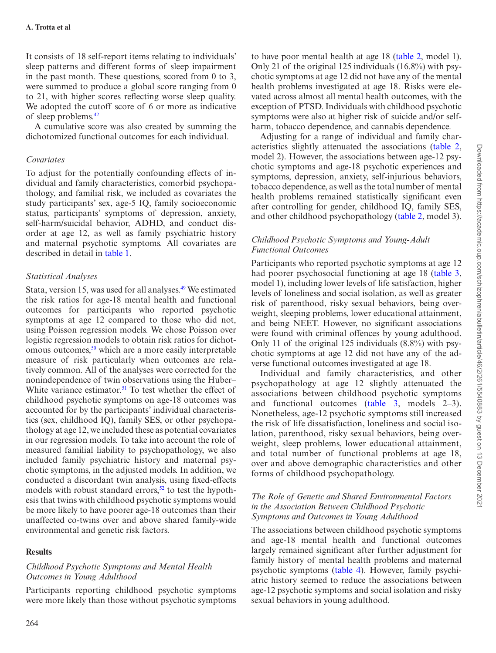It consists of 18 self-report items relating to individuals' sleep patterns and different forms of sleep impairment in the past month. These questions, scored from 0 to 3, were summed to produce a global score ranging from 0 to 21, with higher scores reflecting worse sleep quality. We adopted the cutoff score of 6 or more as indicative of sleep problems[.42](#page-9-25)

A cumulative score was also created by summing the dichotomized functional outcomes for each individual.

#### *Covariates*

To adjust for the potentially confounding effects of individual and family characteristics, comorbid psychopathology, and familial risk, we included as covariates the study participants' sex, age-5 IQ, family socioeconomic status, participants' symptoms of depression, anxiety, self-harm/suicidal behavior, ADHD, and conduct disorder at age 12, as well as family psychiatric history and maternal psychotic symptoms. All covariates are described in detail in [table 1.](#page-4-0)

#### *Statistical Analyses*

Stata, version 15, was used for all analyses.<sup>49</sup> We estimated the risk ratios for age-18 mental health and functional outcomes for participants who reported psychotic symptoms at age 12 compared to those who did not, using Poisson regression models. We chose Poisson over logistic regression models to obtain risk ratios for dichotomous outcomes,<sup>50</sup> which are a more easily interpretable measure of risk particularly when outcomes are relatively common. All of the analyses were corrected for the nonindependence of twin observations using the Huber– White variance estimator.<sup>51</sup> To test whether the effect of childhood psychotic symptoms on age-18 outcomes was accounted for by the participants' individual characteristics (sex, childhood IQ), family SES, or other psychopathology at age 12, we included these as potential covariates in our regression models. To take into account the role of measured familial liability to psychopathology, we also included family psychiatric history and maternal psychotic symptoms, in the adjusted models. In addition, we conducted a discordant twin analysis, using fixed-effects models with robust standard errors, $52$  to test the hypothesis that twins with childhood psychotic symptoms would be more likely to have poorer age-18 outcomes than their unaffected co-twins over and above shared family-wide environmental and genetic risk factors.

#### **Results**

#### *Childhood Psychotic Symptoms and Mental Health Outcomes in Young Adulthood*

Participants reporting childhood psychotic symptoms were more likely than those without psychotic symptoms to have poor mental health at age 18 [\(table 2](#page-5-0), model 1). Only 21 of the original 125 individuals (16.8%) with psychotic symptoms at age 12 did not have any of the mental health problems investigated at age 18. Risks were elevated across almost all mental health outcomes, with the exception of PTSD. Individuals with childhood psychotic symptoms were also at higher risk of suicide and/or selfharm, tobacco dependence, and cannabis dependence.

Adjusting for a range of individual and family characteristics slightly attenuated the associations ([table 2](#page-5-0), model 2). However, the associations between age-12 psychotic symptoms and age-18 psychotic experiences and symptoms, depression, anxiety, self-injurious behaviors, tobacco dependence, as well as the total number of mental health problems remained statistically significant even after controlling for gender, childhood IQ, family SES, and other childhood psychopathology [\(table 2,](#page-5-0) model 3).

#### *Childhood Psychotic Symptoms and Young-Adult Functional Outcomes*

Participants who reported psychotic symptoms at age 12 had poorer psychosocial functioning at age 18 ([table 3](#page-5-1), model 1), including lower levels of life satisfaction, higher levels of loneliness and social isolation, as well as greater risk of parenthood, risky sexual behaviors, being overweight, sleeping problems, lower educational attainment, and being NEET. However, no significant associations were found with criminal offences by young adulthood. Only 11 of the original 125 individuals (8.8%) with psychotic symptoms at age 12 did not have any of the adverse functional outcomes investigated at age 18.

Individual and family characteristics, and other psychopathology at age 12 slightly attenuated the associations between childhood psychotic symptoms and functional outcomes (table  $3$ , models  $2-3$ ). Nonetheless, age-12 psychotic symptoms still increased the risk of life dissatisfaction, loneliness and social isolation, parenthood, risky sexual behaviors, being overweight, sleep problems, lower educational attainment, and total number of functional problems at age 18, over and above demographic characteristics and other forms of childhood psychopathology.

#### *The Role of Genetic and Shared Environmental Factors in the Association Between Childhood Psychotic Symptoms and Outcomes in Young Adulthood*

The associations between childhood psychotic symptoms and age-18 mental health and functional outcomes largely remained significant after further adjustment for family history of mental health problems and maternal psychotic symptoms ([table 4\)](#page-6-0). However, family psychiatric history seemed to reduce the associations between age-12 psychotic symptoms and social isolation and risky sexual behaviors in young adulthood.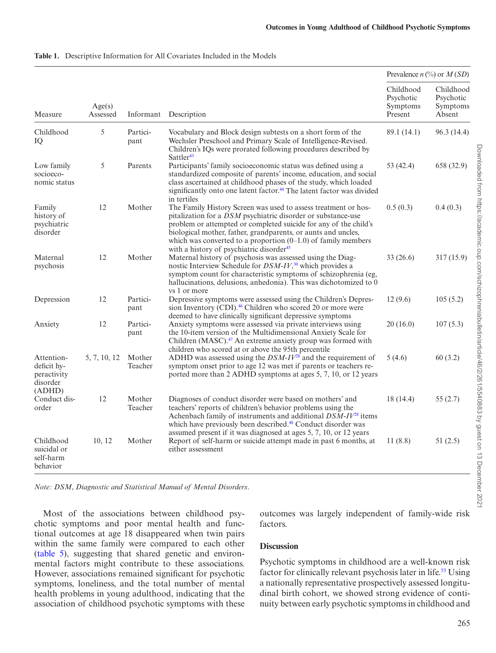<span id="page-4-0"></span>

|                                                                |                    |                   |                                                                                                                                                                                                                                                                                                                                                                                                | Prevalence $n$ (%) or $M(SD)$                 |                                              |
|----------------------------------------------------------------|--------------------|-------------------|------------------------------------------------------------------------------------------------------------------------------------------------------------------------------------------------------------------------------------------------------------------------------------------------------------------------------------------------------------------------------------------------|-----------------------------------------------|----------------------------------------------|
| Measure                                                        | Age(s)<br>Assessed |                   | Informant Description                                                                                                                                                                                                                                                                                                                                                                          | Childhood<br>Psychotic<br>Symptoms<br>Present | Childhood<br>Psychotic<br>Symptoms<br>Absent |
| Childhood<br>IQ                                                | 5                  | Partici-<br>pant  | Vocabulary and Block design subtests on a short form of the<br>Wechsler Preschool and Primary Scale of Intelligence-Revised.<br>Children's IQs were prorated following procedures described by<br>Sattler <sup>43</sup>                                                                                                                                                                        | 89.1 (14.1)                                   | 96.3 (14.4)                                  |
| Low family<br>socioeco-<br>nomic status                        | 5                  | Parents           | Participants' family socioeconomic status was defined using a<br>standardized composite of parents' income, education, and social<br>class ascertained at childhood phases of the study, which loaded<br>significantly onto one latent factor. <sup>44</sup> The latent factor was divided<br>in tertiles                                                                                      | 53 (42.4)                                     | 658 (32.9)                                   |
| Family<br>history of<br>psychiatric<br>disorder                | 12                 | Mother            | The Family History Screen was used to assess treatment or hos-<br>pitalization for a DSM psychiatric disorder or substance-use<br>problem or attempted or completed suicide for any of the child's<br>biological mother, father, grandparents, or aunts and uncles,<br>which was converted to a proportion $(0-1.0)$ of family members<br>with a history of psychiatric disorder <sup>45</sup> | 0.5(0.3)                                      | 0.4(0.3)                                     |
| Maternal<br>psychosis                                          | 12                 | Mother            | Maternal history of psychosis was assessed using the Diag-<br>nostic Interview Schedule for DSM-IV, <sup>30</sup> which provides a<br>symptom count for characteristic symptoms of schizophrenia (eg,<br>hallucinations, delusions, anhedonia). This was dichotomized to 0<br>vs 1 or more                                                                                                     | 33 (26.6)                                     | 317 (15.9)                                   |
| Depression                                                     | 12                 | Partici-<br>pant  | Depressive symptoms were assessed using the Children's Depres-<br>sion Inventory (CDI). <sup>46</sup> Children who scored 20 or more were<br>deemed to have clinically significant depressive symptoms                                                                                                                                                                                         | 12(9.6)                                       | 105(5.2)                                     |
| Anxiety                                                        | 12                 | Partici-<br>pant  | Anxiety symptoms were assessed via private interviews using<br>the 10-item version of the Multidimensional Anxiety Scale for<br>Children (MASC). <sup>47</sup> An extreme anxiety group was formed with<br>children who scored at or above the 95th percentile                                                                                                                                 | 20(16.0)                                      | 107(5.3)                                     |
| Attention-<br>deficit hy-<br>peractivity<br>disorder<br>(ADHD) | 5, 7, 10, 12       | Mother<br>Teacher | ADHD was assessed using the $DSM-IV^{28}$ and the requirement of<br>symptom onset prior to age 12 was met if parents or teachers re-<br>ported more than 2 ADHD symptoms at ages 5, 7, 10, or 12 years                                                                                                                                                                                         | 5(4.6)                                        | 60(3.2)                                      |
| Conduct dis-<br>order                                          | 12                 | Mother<br>Teacher | Diagnoses of conduct disorder were based on mothers' and<br>teachers' reports of children's behavior problems using the<br>Achenbach family of instruments and additional DSM-IV <sup>28</sup> items<br>which have previously been described. <sup>48</sup> Conduct disorder was<br>assumed present if it was diagnosed at ages 5, 7, 10, or 12 years                                          | 18(14.4)                                      | 55 $(2.7)$                                   |
| Childhood<br>suicidal or<br>self-harm<br>behavior              | 10, 12             | Mother            | Report of self-harm or suicide attempt made in past 6 months, at<br>either assessment                                                                                                                                                                                                                                                                                                          | 11(8.8)                                       | 51(2.5)                                      |

*Note: DSM*, *Diagnostic and Statistical Manual of Mental Disorders*.

Most of the associations between childhood psychotic symptoms and poor mental health and functional outcomes at age 18 disappeared when twin pairs within the same family were compared to each other [\(table 5](#page-7-0)), suggesting that shared genetic and environmental factors might contribute to these associations. However, associations remained significant for psychotic symptoms, loneliness, and the total number of mental health problems in young adulthood, indicating that the association of childhood psychotic symptoms with these outcomes was largely independent of family-wide risk factors.

#### **Discussion**

Psychotic symptoms in childhood are a well-known risk factor for clinically relevant psychosis later in life.<sup>53</sup> Using a nationally representative prospectively assessed longitudinal birth cohort, we showed strong evidence of continuity between early psychotic symptoms in childhood and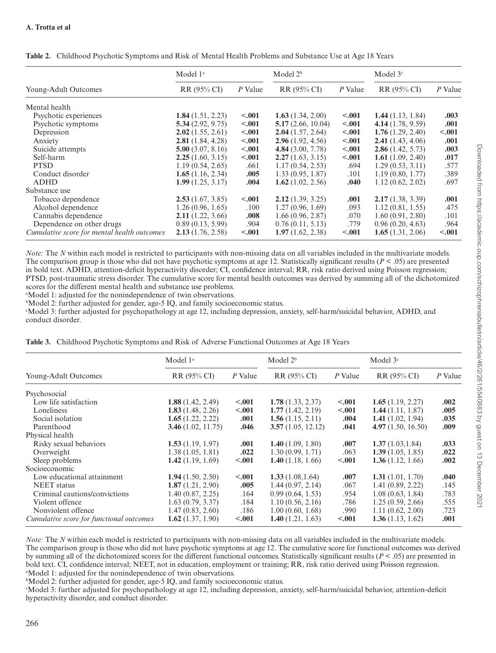|                                             | Model 1 <sup>a</sup>  |         | Model $2b$          |         | Model $3c$          |           |
|---------------------------------------------|-----------------------|---------|---------------------|---------|---------------------|-----------|
| Young-Adult Outcomes                        | RR (95% CI)           | P Value | RR (95% CI)         | P Value | RR(95% CI)          | $P$ Value |
| Mental health                               |                       |         |                     |         |                     |           |
| Psychotic experiences                       | 1.84(1.51, 2.23)      | < .001  | 1.63(1.34, 2.00)    | < .001  | 1.44(1.13, 1.84)    | .003      |
| Psychotic symptoms                          | 5.34(2.92, 9.75)      | < .001  | 5.17(2.66, 10.04)   | < .001  | 4.14 $(1.78, 9.59)$ | .001      |
| Depression                                  | 2.02(1.55, 2.61)      | < .001  | 2.04(1.57, 2.64)    | < .001  | 1.76(1.29, 2.40)    | < .001    |
| Anxiety                                     | 2.81(1.84, 4.28)      | < .001  | 2.96(1.92, 4.56)    | < .001  | 2.41(1.43, 4.06)    | .001      |
| Suicide attempts                            | $5.00$ $(3.07, 8.16)$ | < .001  | 4.84 $(3.00, 7.78)$ | < .001  | 2.86(1.42, 5.73)    | .003      |
| Self-harm                                   | 2.25(1.60, 3.15)      | < .001  | 2.27(1.63, 3.15)    | < .001  | 1.61 $(1.09, 2.40)$ | .017      |
| <b>PTSD</b>                                 | 1.19(0.54, 2.65)      | .661    | 1.17(0.54, 2.53)    | .694    | 1.29(0.53, 3.11)    | .577      |
| Conduct disorder                            | 1.65(1.16, 2.34)      | .005    | 1.33(0.95, 1.87)    | .101    | 1.19(0.80, 1.77)    | .389      |
| <b>ADHD</b>                                 | 1.99(1.25, 3.17)      | .004    | 1.62 $(1.02, 2.56)$ | .040    | 1.12(0.62, 2.02)    | .697      |
| Substance use                               |                       |         |                     |         |                     |           |
| Tobacco dependence                          | 2.53(1.67, 3.85)      | < .001  | 2.12(1.39, 3.25)    | .001    | 2.17(1.38, 3.39)    | .001      |
| Alcohol dependence                          | 1.26(0.96, 1.65)      | .100    | 1.27(0.96, 1.69)    | .093    | 1.12(0.81, 1.55)    | .475      |
| Cannabis dependence                         | 2.11(1.22, 3.66)      | .008    | 1.66(0.96, 2.87)    | .070    | 1.60(0.91, 2.80)    | .101      |
| Dependence on other drugs                   | 0.89(0.13, 5.99)      | .904    | 0.76(0.11, 5.13)    | .779    | 0.96(0.20, 4.63)    | .964      |
| Cumulative score for mental health outcomes | 2.13(1.76, 2.58)      | < .001  | 1.97(1.62, 2.38)    | < .001  | 1.65(1.31, 2.06)    | $-.001$   |

<span id="page-5-0"></span>**Table 2.**  Childhood Psychotic Symptoms and Risk of Mental Health Problems and Substance Use at Age 18 Years

*Note:* The *N* within each model is restricted to participants with non-missing data on all variables included in the multivariate models. The comparison group is those who did not have psychotic symptoms at age 12. Statistically significant results  $(P < .05)$  are presented in bold text. ADHD, attention-deficit hyperactivity disorder; CI, confidence interval; RR, risk ratio derived using Poisson regression; PTSD, post-traumatic stress disorder. The cumulative score for mental health outcomes was derived by summing all of the dichotomized scores for the different mental health and substance use problems.

a Model 1: adjusted for the nonindependence of twin observations.

b Model 2: further adjusted for gender, age-5 IQ, and family socioeconomic status.

c Model 3: further adjusted for psychopathology at age 12, including depression, anxiety, self-harm/suicidal behavior, ADHD, and conduct disorder.

<span id="page-5-1"></span>

| Table 3. Childhood Psychotic Symptoms and Risk of Adverse Functional Outcomes at Age 18 Years |  |  |  |
|-----------------------------------------------------------------------------------------------|--|--|--|
|                                                                                               |  |  |  |

|                                          | Model 1 <sup>a</sup> |         | Model $2b$        |         | Model $3c$           |         |
|------------------------------------------|----------------------|---------|-------------------|---------|----------------------|---------|
| Young-Adult Outcomes                     | RR (95% CI)          | P Value | RR(95% CI)        | P Value | RR(95% CI)           | P Value |
| Psychosocial                             |                      |         |                   |         |                      |         |
| Low life satisfaction                    | 1.88(1.42, 2.49)     | < .001  | 1.78(1.33, 2.37)  | < .001  | 1.65(1.19, 2.27)     | .002    |
| Loneliness                               | 1.83(1.48, 2.26)     | $-.001$ | 1.77(1.42, 2.19)  | < .001  | 1.44(1.11, 1.87)     | .005    |
| Social isolation                         | 1.65(1.22, 2.22)     | .001    | 1.56(1.15, 2.11)  | .004    | 1.41 $(1.02, 1.94)$  | .035    |
| Parenthood                               | 3.46(1.02, 11.75)    | .046    | 3.57(1.05, 12.12) | .041    | 4.97 $(1.50, 16.50)$ | .009    |
| Physical health                          |                      |         |                   |         |                      |         |
| Risky sexual behaviors                   | 1.53(1.19, 1.97)     | .001    | 1.40(1.09, 1.80)  | .007    | 1.37(1.03, 1.84)     | .033    |
| Overweight                               | 1.38(1.05, 1.81)     | .022    | 1.30(0.99, 1.71)  | .063    | 1.39(1.05, 1.85)     | .022    |
| Sleep problems                           | 1.42 $(1.19, 1.69)$  | $-.001$ | 1.40(1.18, 1.66)  | < .001  | 1.36(1.12, 1.66)     | .002    |
| Socioeconomic                            |                      |         |                   |         |                      |         |
| Low educational attainment               | 1.94(1.50, 2.50)     | < .001  | 1.33(1.08, 1.64)  | .007    | 1.31 $(1.01, 1.70)$  | .040    |
| <b>NEET</b> status                       | 1.87(1.21, 2.90)     | .005    | 1.44(0.97, 2.14)  | .067    | 1.41(0.89, 2.22)     | .145    |
| Criminal cautions/convictions            | 1.40(0.87, 2.25)     | .164    | 0.99(0.64, 1.53)  | .954    | 1.08(0.63, 1.84)     | .783    |
| Violent offence                          | 1.63(0.79, 3.37)     | .184    | 1.10(0.56, 2.16)  | .786    | 1.25(0.59, 2.66)     | .555    |
| Nonviolent offence                       | 1.47(0.83, 2.60)     | .186    | 1.00(0.60, 1.68)  | .990    | 1.11(0.62, 2.00)     | .723    |
| Cumulative score for functional outcomes | 1.62 $(1.37, 1.90)$  | < .001  | 1.40(1.21, 1.63)  | < .001  | 1.36(1.13, 1.62)     | .001    |

*Note:* The *N* within each model is restricted to participants with non-missing data on all variables included in the multivariate models. The comparison group is those who did not have psychotic symptoms at age 12. The cumulative score for functional outcomes was derived by summing all of the dichotomized scores for the different functional outcomes. Statistically significant results (*P* < .05) are presented in bold text. CI, confidence interval; NEET, not in education, employment or training; RR, risk ratio derived using Poisson regression. a Model 1: adjusted for the nonindependence of twin observations.

<sup>b</sup>Model 2: further adjusted for gender, age-5 IQ, and family socioeconomic status.

c Model 3: further adjusted for psychopathology at age 12, including depression, anxiety, self-harm/suicidal behavior, attention-deficit hyperactivity disorder, and conduct disorder.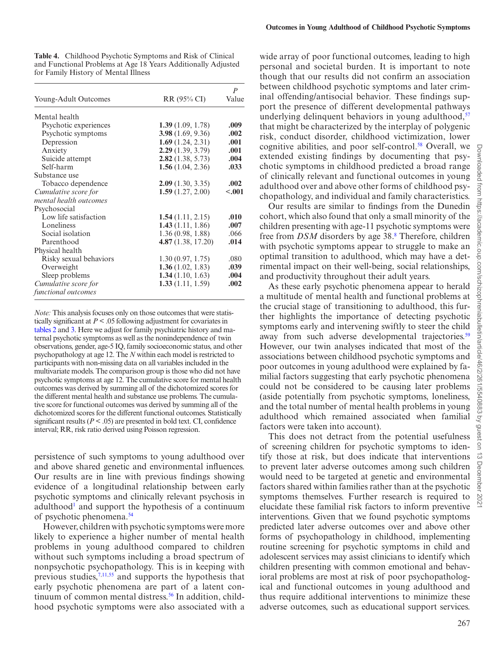<span id="page-6-0"></span>

|                        |                     | $\boldsymbol{P}$ |
|------------------------|---------------------|------------------|
| Young-Adult Outcomes   | RR (95% CI)         | Value            |
| Mental health          |                     |                  |
| Psychotic experiences  | 1.39(1.09, 1.78)    | .009             |
| Psychotic symptoms     | 3.98(1.69, 9.36)    | .002             |
| Depression             | 1.69(1.24, 2.31)    | .001             |
| Anxiety                | 2.29(1.39, 3.79)    | .001             |
| Suicide attempt        | 2.82(1.38, 5.73)    | .004             |
| Self-harm              | 1.56 $(1.04, 2.36)$ | .033             |
| Substance use          |                     |                  |
| Tobacco dependence     | 2.09(1.30, 3.35)    | .002             |
| Cumulative score for   | 1.59(1.27, 2.00)    | < .001           |
| mental health outcomes |                     |                  |
| Psychosocial           |                     |                  |
| Low life satisfaction  | 1.54(1.11, 2.15)    | .010             |
| Loneliness             | 1.43(1.11, 1.86)    | .007             |
| Social isolation       | 1.36(0.98, 1.88)    | .066             |
| Parenthood             | 4.87(1.38, 17.20)   | .014             |
| Physical health        |                     |                  |
| Risky sexual behaviors | 1.30(0.97, 1.75)    | .080             |
| Overweight             | 1.36(1.02, 1.83)    | .039             |
| Sleep problems         | 1.34(1.10, 1.63)    | .004             |
| Cumulative score for   | 1.33(1.11, 1.59)    | .002             |
| functional outcomes    |                     |                  |

*Note:* This analysis focuses only on those outcomes that were statistically significant at *P* < .05 following adjustment for covariates in [tables 2](#page-5-0) and [3](#page-5-1). Here we adjust for family psychiatric history and maternal psychotic symptoms as well as the nonindependence of twin observations, gender, age-5 IQ, family socioeconomic status, and other psychopathology at age 12. The *N* within each model is restricted to participants with non-missing data on all variables included in the multivariate models. The comparison group is those who did not have psychotic symptoms at age 12. The cumulative score for mental health outcomes was derived by summing all of the dichotomized scores for the different mental health and substance use problems. The cumulative score for functional outcomes was derived by summing all of the dichotomized scores for the different functional outcomes. Statistically significant results ( $P < .05$ ) are presented in bold text. CI, confidence interval; RR, risk ratio derived using Poisson regression.

persistence of such symptoms to young adulthood over and above shared genetic and environmental influences. Our results are in line with previous findings showing evidence of a longitudinal relationship between early psychotic symptoms and clinically relevant psychosis in adulthood<sup>1</sup> and support the hypothesis of a continuum of psychotic phenomena.[54](#page-10-4)

However, children with psychotic symptoms were more likely to experience a higher number of mental health problems in young adulthood compared to children without such symptoms including a broad spectrum of nonpsychotic psychopathology. This is in keeping with previous studies, $7,11,55$  $7,11,55$  $7,11,55$  and supports the hypothesis that early psychotic phenomena are part of a latent continuum of common mental distress.<sup>56</sup> In addition, childhood psychotic symptoms were also associated with a wide array of poor functional outcomes, leading to high personal and societal burden. It is important to note though that our results did not confirm an association between childhood psychotic symptoms and later criminal offending/antisocial behavior. These findings support the presence of different developmental pathways underlying delinquent behaviors in young adulthood, $57$ that might be characterized by the interplay of polygenic risk, conduct disorder, childhood victimization, lower cognitive abilities, and poor self-control.<sup>[58](#page-10-8)</sup> Overall, we extended existing findings by documenting that psychotic symptoms in childhood predicted a broad range of clinically relevant and functional outcomes in young adulthood over and above other forms of childhood psychopathology, and individual and family characteristics.

Our results are similar to findings from the Dunedin cohort, which also found that only a small minority of the children presenting with age-11 psychotic symptoms were free from *DSM* disorders by age 38.<sup>8</sup> Therefore, children with psychotic symptoms appear to struggle to make an optimal transition to adulthood, which may have a detrimental impact on their well-being, social relationships, and productivity throughout their adult years.

As these early psychotic phenomena appear to herald a multitude of mental health and functional problems at the crucial stage of transitioning to adulthood, this further highlights the importance of detecting psychotic symptoms early and intervening swiftly to steer the child away from such adverse developmental trajectories.<sup>[59](#page-10-9)</sup> However, our twin analyses indicated that most of the associations between childhood psychotic symptoms and poor outcomes in young adulthood were explained by familial factors suggesting that early psychotic phenomena could not be considered to be causing later problems (aside potentially from psychotic symptoms, loneliness, and the total number of mental health problems in young adulthood which remained associated when familial factors were taken into account).

This does not detract from the potential usefulness of screening children for psychotic symptoms to identify those at risk, but does indicate that interventions to prevent later adverse outcomes among such children would need to be targeted at genetic and environmental factors shared within families rather than at the psychotic symptoms themselves. Further research is required to elucidate these familial risk factors to inform preventive interventions. Given that we found psychotic symptoms predicted later adverse outcomes over and above other forms of psychopathology in childhood, implementing routine screening for psychotic symptoms in child and adolescent services may assist clinicians to identify which children presenting with common emotional and behavioral problems are most at risk of poor psychopathological and functional outcomes in young adulthood and thus require additional interventions to minimize these adverse outcomes, such as educational support services.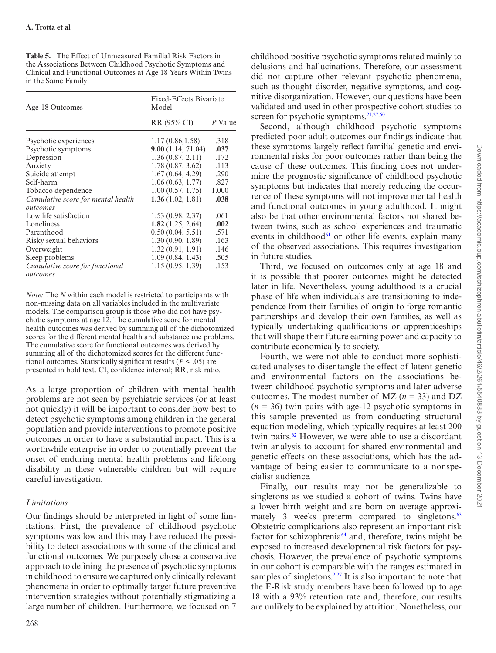<span id="page-7-0"></span>**Table 5.**  The Effect of Unmeasured Familial Risk Factors in the Associations Between Childhood Psychotic Symptoms and Clinical and Functional Outcomes at Age 18 Years Within Twins in the Same Family

| Age-18 Outcomes                                | Fixed-Effects Bivariate<br>Model |         |  |  |
|------------------------------------------------|----------------------------------|---------|--|--|
|                                                | RR (95% CI)                      | P Value |  |  |
| Psychotic experiences                          | 1.17(0.86, 1.58)                 | .318    |  |  |
| Psychotic symptoms                             | 9.00(1.14, 71.04)                | .037    |  |  |
| Depression                                     | 1.36(0.87, 2.11)                 | .172    |  |  |
| Anxiety                                        | 1.78(0.87, 3.62)                 | .113    |  |  |
| Suicide attempt                                | 1.67(0.64, 4.29)                 | .290    |  |  |
| Self-harm                                      | 1.06(0.63, 1.77)                 | .827    |  |  |
| Tobacco dependence                             | 1.00(0.57, 1.75)                 | 1.000   |  |  |
| Cumulative score for mental health<br>outcomes | 1.36(1.02, 1.81)                 | .038    |  |  |
| Low life satisfaction                          | 1.53(0.98, 2.37)                 | .061    |  |  |
| Loneliness                                     | 1.82(1.25, 2.64)                 | .002    |  |  |
| Parenthood                                     | 0.50(0.04, 5.51)                 | .571    |  |  |
| Risky sexual behaviors                         | 1.30(0.90, 1.89)                 | .163    |  |  |
| Overweight                                     | 1.32(0.91, 1.91)                 | .146    |  |  |
| Sleep problems                                 | 1.09(0.84, 1.43)                 | .505    |  |  |
| Cumulative score for functional<br>outcomes    | 1.15(0.95, 1.39)                 | .153    |  |  |

*Note:* The *N* within each model is restricted to participants with non-missing data on all variables included in the multivariate models. The comparison group is those who did not have psychotic symptoms at age 12. The cumulative score for mental health outcomes was derived by summing all of the dichotomized scores for the different mental health and substance use problems. The cumulative score for functional outcomes was derived by summing all of the dichotomized scores for the different functional outcomes. Statistically significant results  $(P < .05)$  are presented in bold text. CI, confidence interval; RR, risk ratio.

As a large proportion of children with mental health problems are not seen by psychiatric services (or at least not quickly) it will be important to consider how best to detect psychotic symptoms among children in the general population and provide interventions to promote positive outcomes in order to have a substantial impact. This is a worthwhile enterprise in order to potentially prevent the onset of enduring mental health problems and lifelong disability in these vulnerable children but will require careful investigation.

#### *Limitations*

Our findings should be interpreted in light of some limitations. First, the prevalence of childhood psychotic symptoms was low and this may have reduced the possibility to detect associations with some of the clinical and functional outcomes. We purposely chose a conservative approach to defining the presence of psychotic symptoms in childhood to ensure we captured only clinically relevant phenomena in order to optimally target future preventive intervention strategies without potentially stigmatizing a large number of children. Furthermore, we focused on 7

childhood positive psychotic symptoms related mainly to delusions and hallucinations. Therefore, our assessment did not capture other relevant psychotic phenomena, such as thought disorder, negative symptoms, and cognitive disorganization. However, our questions have been validated and used in other prospective cohort studies to screen for psychotic symptoms.<sup>21,[27](#page-9-9),[60](#page-10-10)</sup>

Second, although childhood psychotic symptoms predicted poor adult outcomes our findings indicate that these symptoms largely reflect familial genetic and environmental risks for poor outcomes rather than being the cause of these outcomes. This finding does not undermine the prognostic significance of childhood psychotic symptoms but indicates that merely reducing the occurrence of these symptoms will not improve mental health and functional outcomes in young adulthood. It might also be that other environmental factors not shared between twins, such as school experiences and traumatic events in childhood $61$  or other life events, explain many of the observed associations. This requires investigation in future studies.

Third, we focused on outcomes only at age 18 and it is possible that poorer outcomes might be detected later in life. Nevertheless, young adulthood is a crucial phase of life when individuals are transitioning to independence from their families of origin to forge romantic partnerships and develop their own families, as well as typically undertaking qualifications or apprenticeships that will shape their future earning power and capacity to contribute economically to society.

Fourth, we were not able to conduct more sophisticated analyses to disentangle the effect of latent genetic and environmental factors on the associations between childhood psychotic symptoms and later adverse outcomes. The modest number of MZ (*n* = 33) and DZ  $(n = 36)$  twin pairs with age-12 psychotic symptoms in this sample prevented us from conducting structural equation modeling, which typically requires at least 200 twin pairs.<sup>[62](#page-10-12)</sup> However, we were able to use a discordant twin analysis to account for shared environmental and genetic effects on these associations, which has the advantage of being easier to communicate to a nonspecialist audience.

Finally, our results may not be generalizable to singletons as we studied a cohort of twins. Twins have a lower birth weight and are born on average approximately 3 weeks preterm compared to singletons. $63$ Obstetric complications also represent an important risk factor for schizophrenia<sup>64</sup> and, therefore, twins might be exposed to increased developmental risk factors for psychosis. However, the prevalence of psychotic symptoms in our cohort is comparable with the ranges estimated in samples of singletons. $2,27$  $2,27$  It is also important to note that the E-Risk study members have been followed up to age 18 with a 93% retention rate and, therefore, our results are unlikely to be explained by attrition. Nonetheless, our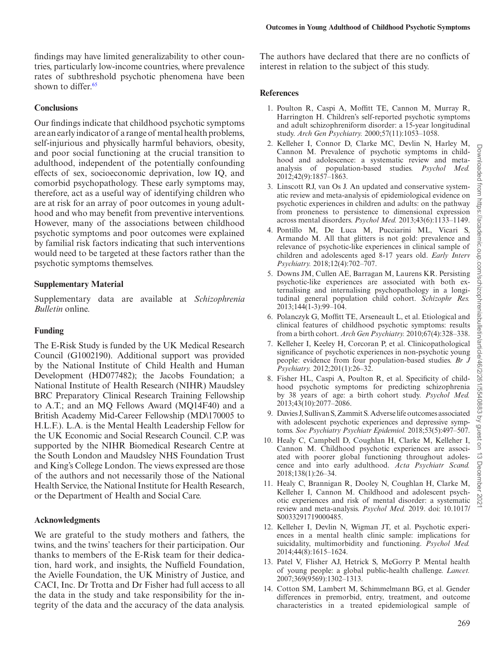findings may have limited generalizability to other countries, particularly low-income countries, where prevalence rates of subthreshold psychotic phenomena have been shown to differ.<sup>65</sup>

#### **Conclusions**

Our findings indicate that childhood psychotic symptoms are an early indicator of a range of mental health problems, self-injurious and physically harmful behaviors, obesity, and poor social functioning at the crucial transition to adulthood, independent of the potentially confounding effects of sex, socioeconomic deprivation, low IQ, and comorbid psychopathology. These early symptoms may, therefore, act as a useful way of identifying children who are at risk for an array of poor outcomes in young adulthood and who may benefit from preventive interventions. However, many of the associations between childhood psychotic symptoms and poor outcomes were explained by familial risk factors indicating that such interventions would need to be targeted at these factors rather than the psychotic symptoms themselves.

## **Supplementary Material**

Supplementary data are available at *Schizophrenia Bulletin* online.

## **Funding**

The E-Risk Study is funded by the UK Medical Research Council (G1002190). Additional support was provided by the National Institute of Child Health and Human Development (HD077482); the Jacobs Foundation; a National Institute of Health Research (NIHR) Maudsley BRC Preparatory Clinical Research Training Fellowship to A.T.; and an MQ Fellows Award (MQ14F40) and a British Academy Mid-Career Fellowship (MD\170005 to H.L.F.). L.A. is the Mental Health Leadership Fellow for the UK Economic and Social Research Council. C.P. was supported by the NIHR Biomedical Research Centre at the South London and Maudsley NHS Foundation Trust and King's College London. The views expressed are those of the authors and not necessarily those of the National Health Service, the National Institute for Health Research, or the Department of Health and Social Care.

#### **Acknowledgments**

We are grateful to the study mothers and fathers, the twins, and the twins' teachers for their participation. Our thanks to members of the E-Risk team for their dedication, hard work, and insights, the Nuffield Foundation, the Avielle Foundation, the UK Ministry of Justice, and CACI, Inc. Dr Trotta and Dr Fisher had full access to all the data in the study and take responsibility for the integrity of the data and the accuracy of the data analysis.

The authors have declared that there are no conflicts of interest in relation to the subject of this study.

#### **References**

- <span id="page-8-0"></span>1. Poulton R, Caspi A, Moffitt TE, Cannon M, Murray R, Harrington H. Children's self-reported psychotic symptoms and adult schizophreniform disorder: a 15-year longitudinal study. *Arch Gen Psychiatry.* 2000;57(11):1053–1058.
- <span id="page-8-4"></span>2. Kelleher I, Connor D, Clarke MC, Devlin N, Harley M, Cannon M. Prevalence of psychotic symptoms in childhood and adolescence: a systematic review and metaanalysis of population-based studies. *Psychol Med.* 2012;42(9):1857–1863.
- 3. Linscott RJ, van Os J. An updated and conservative systematic review and meta-analysis of epidemiological evidence on psychotic experiences in children and adults: on the pathway from proneness to persistence to dimensional expression across mental disorders. *Psychol Med.* 2013;43(6):1133–1149.
- 4. Pontillo M, De Luca M, Pucciarini ML, Vicari S, Armando M. All that glitters is not gold: prevalence and relevance of psychotic-like experiences in clinical sample of children and adolescents aged 8-17 years old. *Early Interv Psychiatry.* 2018;12(4):702–707.
- 5. Downs JM, Cullen AE, Barragan M, Laurens KR. Persisting psychotic-like experiences are associated with both externalising and internalising psychopathology in a longitudinal general population child cohort. *Schizophr Res.* 2013;144(1-3):99–104.
- <span id="page-8-1"></span>6. Polanczyk G, Moffitt TE, Arseneault L, et al. Etiological and clinical features of childhood psychotic symptoms: results from a birth cohort. *Arch Gen Psychiatry.* 2010;67(4):328–338.
- <span id="page-8-5"></span>7. Kelleher I, Keeley H, Corcoran P, et al. Clinicopathological significance of psychotic experiences in non-psychotic young people: evidence from four population-based studies. *Br J Psychiatry.* 2012;201(1):26–32.
- <span id="page-8-7"></span>8. Fisher HL, Caspi A, Poulton R, et al. Specificity of childhood psychotic symptoms for predicting schizophrenia by 38 years of age: a birth cohort study. *Psychol Med.* 2013;43(10):2077–2086.
- 9. Davies J, Sullivan S, Zammit S. Adverse life outcomes associated with adolescent psychotic experiences and depressive symptoms. *Soc Psychiatry Psychiatr Epidemiol.* 2018;53(5):497–507.
- 10. Healy C, Campbell D, Coughlan H, Clarke M, Kelleher I, Cannon M. Childhood psychotic experiences are associated with poorer global functioning throughout adolescence and into early adulthood. *Acta Psychiatr Scand.* 2018;138(1):26–34.
- <span id="page-8-6"></span>11. Healy C, Brannigan R, Dooley N, Coughlan H, Clarke M, Kelleher I, Cannon M. Childhood and adolescent psychotic experiences and risk of mental disorder: a systematic review and meta-analysis. *Psychol Med.* 2019. doi: 10.1017/ S0033291719000485.
- 12. Kelleher I, Devlin N, Wigman JT, et al. Psychotic experiences in a mental health clinic sample: implications for suicidality, multimorbidity and functioning. *Psychol Med.* 2014;44(8):1615–1624.
- <span id="page-8-2"></span>13. Patel V, Flisher AJ, Hetrick S, McGorry P. Mental health of young people: a global public-health challenge. *Lancet.* 2007;369(9569):1302–1313.
- <span id="page-8-3"></span>14. Cotton SM, Lambert M, Schimmelmann BG, et al. Gender differences in premorbid, entry, treatment, and outcome characteristics in a treated epidemiological sample of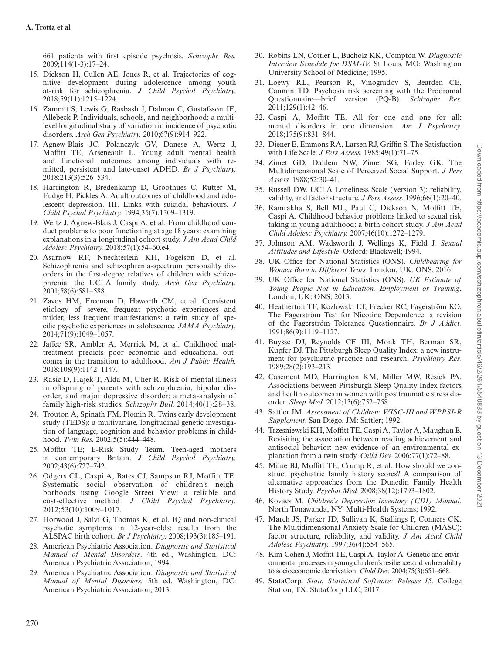661 patients with first episode psychosis. *Schizophr Res.* 2009;114(1-3):17–24.

- <span id="page-9-0"></span>15. Dickson H, Cullen AE, Jones R, et al. Trajectories of cognitive development during adolescence among youth at-risk for schizophrenia. *J Child Psychol Psychiatry.* 2018;59(11):1215–1224.
- <span id="page-9-1"></span>16. Zammit S, Lewis G, Rasbash J, Dalman C, Gustafsson JE, Allebeck P. Individuals, schools, and neighborhood: a multilevel longitudinal study of variation in incidence of psychotic disorders. *Arch Gen Psychiatry.* 2010;67(9):914–922.
- 17. Agnew-Blais JC, Polanczyk GV, Danese A, Wertz J, Moffitt TE, Arseneault L. Young adult mental health and functional outcomes among individuals with remitted, persistent and late-onset ADHD. *Br J Psychiatry.* 2018;213(3):526–534.
- 18. Harrington R, Bredenkamp D, Groothues C, Rutter M, Fudge H, Pickles A. Adult outcomes of childhood and adolescent depression. III. Links with suicidal behaviours. *J Child Psychol Psychiatry.* 1994;35(7):1309–1319.
- <span id="page-9-18"></span>19. Wertz J, Agnew-Blais J, Caspi A, et al. From childhood conduct problems to poor functioning at age 18 years: examining explanations in a longitudinal cohort study. *J Am Acad Child Adolesc Psychiatry.* 2018;57(1):54–60.e4.
- <span id="page-9-2"></span>20. Asarnow RF, Nuechterlein KH, Fogelson D, et al. Schizophrenia and schizophrenia-spectrum personality disorders in the first-degree relatives of children with schizophrenia: the UCLA family study. *Arch Gen Psychiatry.* 2001;58(6):581–588.
- <span id="page-9-3"></span>21. Zavos HM, Freeman D, Haworth CM, et al. Consistent etiology of severe, frequent psychotic experiences and milder, less frequent manifestations: a twin study of specific psychotic experiences in adolescence. *JAMA Psychiatry.* 2014;71(9):1049–1057.
- <span id="page-9-4"></span>22. Jaffee SR, Ambler A, Merrick M, et al. Childhood maltreatment predicts poor economic and educational outcomes in the transition to adulthood. *Am J Public Health.* 2018;108(9):1142–1147.
- <span id="page-9-5"></span>23. Rasic D, Hajek T, Alda M, Uher R. Risk of mental illness in offspring of parents with schizophrenia, bipolar disorder, and major depressive disorder: a meta-analysis of family high-risk studies. *Schizophr Bull.* 2014;40(1):28–38.
- <span id="page-9-6"></span>24. Trouton A, Spinath FM, Plomin R. Twins early development study (TEDS): a multivariate, longitudinal genetic investigation of language, cognition and behavior problems in childhood. *Twin Res.* 2002;5(5):444–448.
- <span id="page-9-7"></span>25. Moffitt TE; E-Risk Study Team. Teen-aged mothers in contemporary Britain. *J Child Psychol Psychiatry.* 2002;43(6):727–742.
- <span id="page-9-8"></span>26. Odgers CL, Caspi A, Bates CJ, Sampson RJ, Moffitt TE. Systematic social observation of children's neighborhoods using Google Street View: a reliable and cost-effective method. *J Child Psychol Psychiatry.* 2012;53(10):1009–1017.
- <span id="page-9-9"></span>27. Horwood J, Salvi G, Thomas K, et al. IQ and non-clinical psychotic symptoms in 12-year-olds: results from the ALSPAC birth cohort. *Br J Psychiatry.* 2008;193(3):185–191.
- <span id="page-9-10"></span>28. American Psychiatric Association. *Diagnostic and Statistical Manual of Mental Disorders*. 4th ed., Washington, DC: American Psychiatric Association; 1994.
- <span id="page-9-11"></span>29. American Psychiatric Association. *Diagnostic and Statistical Manual of Mental Disorders.* 5th ed. Washington, DC: American Psychiatric Association; 2013.
- <span id="page-9-12"></span>30. Robins LN, Cottler L, Bucholz KK, Compton W. *Diagnostic Interview Schedule for DSM-IV.* St Louis, MO: Washington University School of Medicine; 1995.
- <span id="page-9-13"></span>31. Loewy RL, Pearson R, Vinogradov S, Bearden CE, Cannon TD. Psychosis risk screening with the Prodromal Questionnaire—brief version (PQ-B). *Schizophr Res.* 2011;129(1):42–46.
- <span id="page-9-14"></span>32. Caspi A, Moffitt TE. All for one and one for all: mental disorders in one dimension. *Am J Psychiatry.* 2018;175(9):831–844.
- <span id="page-9-15"></span>33. Diener E, Emmons RA, Larsen RJ, Griffin S. The Satisfaction with Life Scale. *J Pers Assess.* 1985;49(1):71–75.
- <span id="page-9-16"></span>34. Zimet GD, Dahlem NW, Zimet SG, Farley GK. The Multidimensional Scale of Perceived Social Support. *J Pers Assess.* 1988;52:30–41.
- <span id="page-9-17"></span>35. Russell DW. UCLA Loneliness Scale (Version 3): reliability, validity, and factor structure. *J Pers Assess.* 1996;66(1):20–40.
- <span id="page-9-19"></span>36. Ramrakha S, Bell ML, Paul C, Dickson N, Moffitt TE, Caspi A. Childhood behavior problems linked to sexual risk taking in young adulthood: a birth cohort study. *J Am Acad Child Adolesc Psychiatry.* 2007;46(10):1272–1279.
- <span id="page-9-20"></span>37. Johnson AM, Wadsworth J, Wellings K, Field J. *Sexual Attitudes and Lifestyle*. Oxford: Blackwell; 1994.
- <span id="page-9-21"></span>38. UK Office for National Statistics (ONS). *Childbearing for Women Born in Different Years*. London, UK: ONS; 2016.
- <span id="page-9-22"></span>39. UK Office for National Statistics (ONS). *UK Estimate of Young People Not in Education, Employment or Training*. London, UK: ONS; 2013.
- <span id="page-9-23"></span>40. Heatherton TF, Kozlowski LT, Frecker RC, Fagerström KO. The Fagerström Test for Nicotine Dependence: a revision of the Fagerström Tolerance Questionnaire. *Br J Addict.* 1991;86(9):1119–1127.
- <span id="page-9-24"></span>41. Buysse DJ, Reynolds CF III, Monk TH, Berman SR, Kupfer DJ. The Pittsburgh Sleep Quality Index: a new instrument for psychiatric practice and research. *Psychiatry Res.* 1989;28(2):193–213.
- <span id="page-9-25"></span>42. Casement MD, Harrington KM, Miller MW, Resick PA. Associations between Pittsburgh Sleep Quality Index factors and health outcomes in women with posttraumatic stress disorder. *Sleep Med.* 2012;13(6):752–758.
- <span id="page-9-27"></span>43. Sattler JM. *Assessment of Children: WISC-III and WPPSI-R Supplement*. San Diego, JM: Sattler; 1992.
- <span id="page-9-28"></span>44. Trzesniewski KH, Moffitt TE, Caspi A, Taylor A, Maughan B. Revisiting the association between reading achievement and antisocial behavior: new evidence of an environmental explanation from a twin study. *Child Dev.* 2006;77(1):72–88.
- <span id="page-9-29"></span>45. Milne BJ, Moffitt TE, Crump R, et al. How should we construct psychiatric family history scores? A comparison of alternative approaches from the Dunedin Family Health History Study. *Psychol Med.* 2008;38(12):1793–1802.
- <span id="page-9-30"></span>46. Kovacs M. *Children's Depression Inventory (CDI) Manual*. North Tonawanda, NY: Multi-Health Systems; 1992.
- <span id="page-9-31"></span>47. March JS, Parker JD, Sullivan K, Stallings P, Conners CK. The Multidimensional Anxiety Scale for Children (MASC): factor structure, reliability, and validity. *J Am Acad Child Adolesc Psychiatry.* 1997;36(4):554–565.
- <span id="page-9-32"></span>48. Kim-Cohen J, Moffitt TE, Caspi A, Taylor A. Genetic and environmental processes in young children's resilience and vulnerability to socioeconomic deprivation. *Child Dev.* 2004;75(3):651–668.
- <span id="page-9-26"></span>49. StataCorp. *Stata Statistical Software: Release 15.* College Station, TX: StataCorp LLC; 2017.